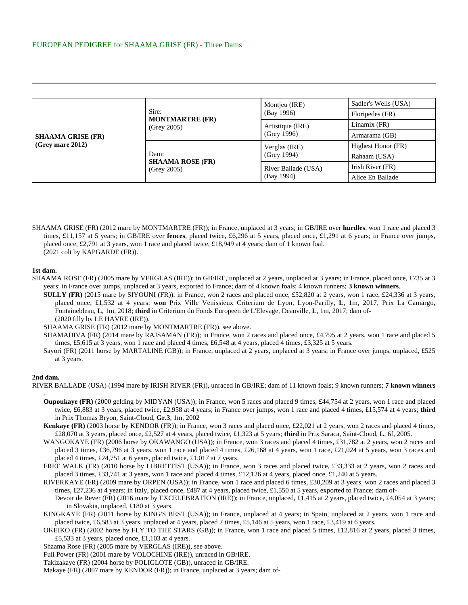| <b>SHAAMA GRISE (FR)</b><br>$(Grey$ mare 2012) | Sire:<br><b>MONTMARTRE (FR)</b><br>(Grev 2005) | Montjeu (IRE)<br>(Bay 1996)       | Sadler's Wells (USA) |
|------------------------------------------------|------------------------------------------------|-----------------------------------|----------------------|
|                                                |                                                |                                   | Floripedes (FR)      |
|                                                |                                                | Artistique (IRE)<br>(Grev 1996)   | Linamix (FR)         |
|                                                |                                                |                                   | Armarama (GB)        |
|                                                | Dam:<br><b>SHAAMA ROSE (FR)</b><br>(Grev 2005) | Verglas (IRE)<br>(Grey 1994)      | Highest Honor (FR)   |
|                                                |                                                |                                   | Rahaam (USA)         |
|                                                |                                                | River Ballade (USA)<br>(Bay 1994) | Irish River (FR)     |
|                                                |                                                |                                   | Alice En Ballade     |

SHAAMA GRISE (FR) (2012 mare by MONTMARTRE (FR)); in France, unplaced at 3 years; in GB/IRE over **hurdles**, won 1 race and placed 3 times, £11,157 at 5 years; in GB/IRE over **fences**, placed twice, £6,296 at 5 years, placed once, £1,291 at 6 years; in France over jumps, placed once, £2,791 at 3 years, won 1 race and placed twice, £18,949 at 4 years; dam of 1 known foal. (2021 colt by KAPGARDE (FR)).

## **1st dam.**

- SHAAMA ROSE (FR) (2005 mare by VERGLAS (IRE)); in GB/IRE, unplaced at 2 years, unplaced at 3 years; in France, placed once, £735 at 3 years; in France over jumps, unplaced at 3 years, exported to France; dam of 4 known foals; 4 known runners; **3 known winners**.
	- **SULLY (FR)** (2015 mare by SIYOUNI (FR)); in France, won 2 races and placed once, £52,820 at 2 years, won 1 race, £24,336 at 3 years, placed once, £1,532 at 4 years; **won** Prix Ville Venissieux Criterium de Lyon, Lyon-Parilly, **L**, 1m, 2017, Prix La Camargo, Fontainebleau, **L**, 1m, 2018; **third** in Criterium du Fonds Europeen de L'Elevage, Deauville, **L**, 1m, 2017; dam of- (2020 filly by LE HAVRE (IRE)).
	- SHAAMA GRISE (FR) (2012 mare by MONTMARTRE (FR)), see above.
	- SHAMADIVA (FR) (2014 mare by RAJSAMAN (FR)); in France, won 2 races and placed once, £4,795 at 2 years, won 1 race and placed 5 times, £5,615 at 3 years, won 1 race and placed 4 times, £6,548 at 4 years, placed 4 times, £3,325 at 5 years.
	- Sayori (FR) (2011 horse by MARTALINE (GB)); in France, unplaced at 2 years, unplaced at 3 years; in France over jumps, unplaced, £525 at 3 years.

## **2nd dam.**

.

- RIVER BALLADE (USA) (1994 mare by IRISH RIVER (FR)), unraced in GB/IRE; dam of 11 known foals; 9 known runners; **7 known winners**
	- **Oupoukaye (FR)** (2000 gelding by MIDYAN (USA)); in France, won 5 races and placed 9 times, £44,754 at 2 years, won 1 race and placed twice, £6,883 at 3 years, placed twice, £2,958 at 4 years; in France over jumps, won 1 race and placed 4 times, £15,574 at 4 years; **third** in Prix Thomas Bryon, Saint-Cloud, **Gr.3**, 1m, 2002
	- **Kenkaye (FR)** (2003 horse by KENDOR (FR)); in France, won 3 races and placed once, £22,021 at 2 years, won 2 races and placed 4 times, £28,070 at 3 years, placed once, £2,527 at 4 years, placed twice, £1,323 at 5 years; **third** in Prix Saraca, Saint-Cloud, **L**, 6f, 2005.
	- WANGOKAYE (FR) (2006 horse by OKAWANGO (USA)); in France, won 3 races and placed 4 times, £31,782 at 2 years, won 2 races and placed 3 times, £36,796 at 3 years, won 1 race and placed 4 times, £26,168 at 4 years, won 1 race, £21,024 at 5 years, won 3 races and placed 4 times, £24,751 at 6 years, placed twice, £1,017 at 7 years.
	- FREE WALK (FR) (2010 horse by LIBRETTIST (USA)); in France, won 3 races and placed twice, £33,333 at 2 years, won 2 races and placed 3 times, £33,741 at 3 years, won 1 race and placed 4 times, £12,126 at 4 years, placed once, £1,240 at 5 years.
	- RIVERKAYE (FR) (2009 mare by ORPEN (USA)); in France, won 1 race and placed 6 times, £30,209 at 3 years, won 2 races and placed 3 times, £27,236 at 4 years; in Italy, placed once, £487 at 4 years, placed twice, £1,550 at 5 years, exported to France; dam of-Devoir de Rever (FR) (2016 mare by EXCELEBRATION (IRE)); in France, unplaced, £1,415 at 2 years, placed twice, £4,054 at 3 years; in Slovakia, unplaced, £180 at 3 years.
	- KINGKAYE (FR) (2011 horse by KING'S BEST (USA)); in France, unplaced at 4 years; in Spain, unplaced at 2 years, won 1 race and placed twice, £6,583 at 3 years, unplaced at 4 years, placed 7 times, £5,146 at 5 years, won 1 race, £3,419 at 6 years.
	- OKEIKO (FR) (2002 horse by FLY TO THE STARS (GB)); in France, won 1 race and placed 5 times, £12,816 at 2 years, placed 3 times, £5,533 at 3 years, placed once, £1,103 at 4 years.
	- Shaama Rose (FR) (2005 mare by VERGLAS (IRE)), see above.
	- Full Power (FR) (2001 mare by VOLOCHINE (IRE)), unraced in GB/IRE.
	- Takizakaye (FR) (2004 horse by POLIGLOTE (GB)), unraced in GB/IRE.
	- Makaye (FR) (2007 mare by KENDOR (FR)); in France, unplaced at 3 years; dam of-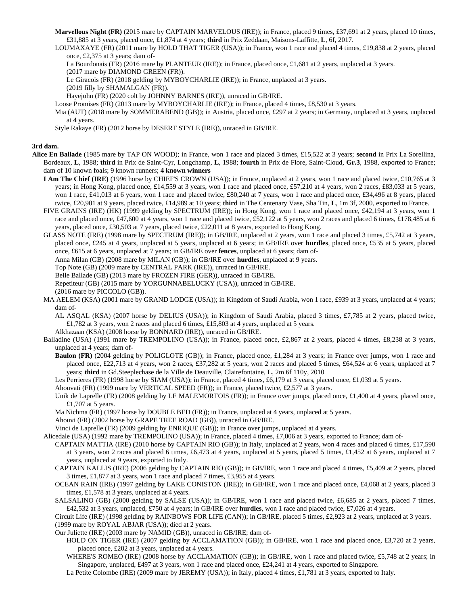**Marvellous Night (FR)** (2015 mare by CAPTAIN MARVELOUS (IRE)); in France, placed 9 times, £37,691 at 2 years, placed 10 times, £31,885 at 3 years, placed once, £1,874 at 4 years; **third** in Prix Zeddaan, Maisons-Laffitte, **L**, 6f, 2017.

LOUMAXAYE (FR) (2011 mare by HOLD THAT TIGER (USA)); in France, won 1 race and placed 4 times, £19,838 at 2 years, placed once, £2,375 at 3 years; dam of-

La Bourdonais (FR) (2016 mare by PLANTEUR (IRE)); in France, placed once, £1,681 at 2 years, unplaced at 3 years.

- (2017 mare by DIAMOND GREEN (FR)).
- Le Giracois (FR) (2018 gelding by MYBOYCHARLIE (IRE)); in France, unplaced at 3 years.
- (2019 filly by SHAMALGAN (FR)).

Hayejohn (FR) (2020 colt by JOHNNY BARNES (IRE)), unraced in GB/IRE.

Loose Promises (FR) (2013 mare by MYBOYCHARLIE (IRE)); in France, placed 4 times, £8,530 at 3 years.

Mia (AUT) (2018 mare by SOMMERABEND (GB)); in Austria, placed once, £297 at 2 years; in Germany, unplaced at 3 years, unplaced at 4 years.

Style Rakaye (FR) (2012 horse by DESERT STYLE (IRE)), unraced in GB/IRE.

## **3rd dam.**

- **Alice En Ballade** (1985 mare by TAP ON WOOD); in France, won 1 race and placed 3 times, £15,522 at 3 years; **second** in Prix La Sorellina, Bordeaux, **L**, 1988; **third** in Prix de Saint-Cyr, Longchamp, **L**, 1988; **fourth** in Prix de Flore, Saint-Cloud, **Gr.3**, 1988, exported to France; dam of 10 known foals; 9 known runners; **4 known winners**
	- **I Am The Chief (IRE)** (1996 horse by CHIEF'S CROWN (USA)); in France, unplaced at 2 years, won 1 race and placed twice, £10,765 at 3 years; in Hong Kong, placed once, £14,559 at 3 years, won 1 race and placed once, £57,210 at 4 years, won 2 races, £83,033 at 5 years, won 1 race, £41,013 at 6 years, won 1 race and placed twice, £80,240 at 7 years, won 1 race and placed once, £34,496 at 8 years, placed twice, £20,901 at 9 years, placed twice, £14,989 at 10 years; **third** in The Centenary Vase, Sha Tin, **L**, 1m 3f, 2000, exported to France.
	- FIVE GRAINS (IRE) (HK) (1999 gelding by SPECTRUM (IRE)); in Hong Kong, won 1 race and placed once, £42,194 at 3 years, won 1 race and placed once, £47,600 at 4 years, won 1 race and placed twice, £52,122 at 5 years, won 2 races and placed 6 times, £178,485 at 6 years, placed once, £30,503 at 7 years, placed twice, £22,011 at 8 years, exported to Hong Kong.
	- GLASS NOTE (IRE) (1998 mare by SPECTRUM (IRE)); in GB/IRE, unplaced at 2 years, won 1 race and placed 3 times, £5,742 at 3 years, placed once, £245 at 4 years, unplaced at 5 years, unplaced at 6 years; in GB/IRE over **hurdles**, placed once, £535 at 5 years, placed once, £615 at 6 years, unplaced at 7 years; in GB/IRE over **fences**, unplaced at 6 years; dam of-

Anna Milan (GB) (2008 mare by MILAN (GB)); in GB/IRE over **hurdles**, unplaced at 9 years.

Top Note (GB) (2009 mare by CENTRAL PARK (IRE)), unraced in GB/IRE.

Belle Ballade (GB) (2013 mare by FROZEN FIRE (GER)), unraced in GB/IRE.

Repetiteur (GB) (2015 mare by YORGUNNABELUCKY (USA)), unraced in GB/IRE.

(2016 mare by PICCOLO (GB)).

MA AELEM (KSA) (2001 mare by GRAND LODGE (USA)); in Kingdom of Saudi Arabia, won 1 race, £939 at 3 years, unplaced at 4 years; dam of-

AL ASQAL (KSA) (2007 horse by DELIUS (USA)); in Kingdom of Saudi Arabia, placed 3 times, £7,785 at 2 years, placed twice, £1,782 at 3 years, won 2 races and placed 6 times, £15,803 at 4 years, unplaced at 5 years.

Alkhazaan (KSA) (2008 horse by BONNARD (IRE)), unraced in GB/IRE.

- Balladine (USA) (1991 mare by TREMPOLINO (USA)); in France, placed once, £2,867 at 2 years, placed 4 times, £8,238 at 3 years, unplaced at 4 years; dam of-
	- **Baulon (FR)** (2004 gelding by POLIGLOTE (GB)); in France, placed once, £1,284 at 3 years; in France over jumps, won 1 race and placed once, £22,713 at 4 years, won 2 races, £37,282 at 5 years, won 2 races and placed 5 times, £64,524 at 6 years, unplaced at 7 years; **third** in Gd.Steeplechase de la Ville de Deauville, Clairefontaine, **L**, 2m 6f 110y, 2010

Les Perrieres (FR) (1998 horse by SIAM (USA)); in France, placed 4 times, £6,179 at 3 years, placed once, £1,039 at 5 years.

Ahouvati (FR) (1999 mare by VERTICAL SPEED (FR)); in France, placed twice, £2,577 at 3 years.

- Unik de Laprelle (FR) (2008 gelding by LE MALEMORTOIS (FR)); in France over jumps, placed once, £1,400 at 4 years, placed once, £1,707 at 5 years.
- Ma Nichma (FR) (1997 horse by DOUBLE BED (FR)); in France, unplaced at 4 years, unplaced at 5 years.

Ahouvi (FR) (2002 horse by GRAPE TREE ROAD (GB)), unraced in GB/IRE.

Vinci de Laprelle (FR) (2009 gelding by ENRIQUE (GB)); in France over jumps, unplaced at 4 years.

Alicedale (USA) (1992 mare by TREMPOLINO (USA)); in France, placed 4 times, £7,006 at 3 years, exported to France; dam of-

CAPTAIN MATTIA (IRE) (2010 horse by CAPTAIN RIO (GB)); in Italy, unplaced at 2 years, won 4 races and placed 6 times, £17,590 at 3 years, won 2 races and placed 6 times, £6,473 at 4 years, unplaced at 5 years, placed 5 times, £1,452 at 6 years, unplaced at 7 years, unplaced at 9 years, exported to Italy.

CAPTAIN KALLIS (IRE) (2006 gelding by CAPTAIN RIO (GB)); in GB/IRE, won 1 race and placed 4 times, £5,409 at 2 years, placed 3 times, £1,877 at 3 years, won 1 race and placed 7 times, £3,955 at 4 years.

OCEAN RAIN (IRE) (1997 gelding by LAKE CONISTON (IRE)); in GB/IRE, won 1 race and placed once, £4,068 at 2 years, placed 3 times, £1,578 at 3 years, unplaced at 4 years.

SALSALINO (GB) (2000 gelding by SALSE (USA)); in GB/IRE, won 1 race and placed twice, £6,685 at 2 years, placed 7 times, £42,532 at 3 years, unplaced, £750 at 4 years; in GB/IRE over **hurdles**, won 1 race and placed twice, £7,026 at 4 years.

Circuit Life (IRE) (1998 gelding by RAINBOWS FOR LIFE (CAN)); in GB/IRE, placed 5 times, £2,923 at 2 years, unplaced at 3 years. (1999 mare by ROYAL ABJAR (USA)); died at 2 years.

Our Juliette (IRE) (2003 mare by NAMID (GB)), unraced in GB/IRE; dam of-

HOLD ON TIGER (IRE) (2007 gelding by ACCLAMATION (GB)); in GB/IRE, won 1 race and placed once, £3,720 at 2 years, placed once, £202 at 3 years, unplaced at 4 years.

WHERE'S ROMEO (IRE) (2008 horse by ACCLAMATION (GB)); in GB/IRE, won 1 race and placed twice, £5,748 at 2 years; in Singapore, unplaced, £497 at 3 years, won 1 race and placed once, £24,241 at 4 years, exported to Singapore.

La Petite Colombe (IRE) (2009 mare by JEREMY (USA)); in Italy, placed 4 times, £1,781 at 3 years, exported to Italy.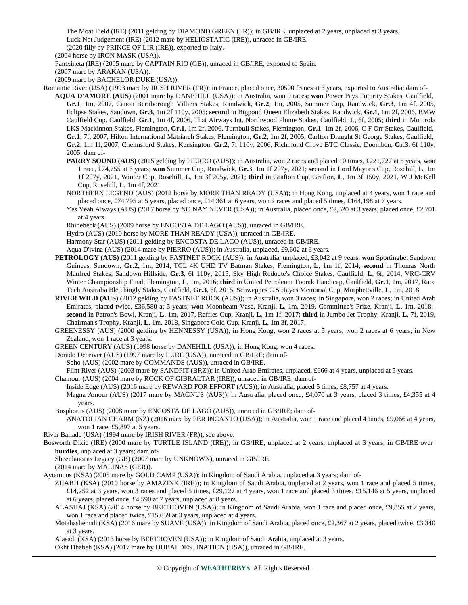The Moat Field (IRE) (2011 gelding by DIAMOND GREEN (FR)); in GB/IRE, unplaced at 2 years, unplaced at 3 years. Luck Not Judgement (IRE) (2012 mare by HELIOSTATIC (IRE)), unraced in GB/IRE.

(2020 filly by PRINCE OF LIR (IRE)), exported to Italy.

(2004 horse by IRON MASK (USA)).

Pantxineta (IRE) (2005 mare by CAPTAIN RIO (GB)), unraced in GB/IRE, exported to Spain.

(2007 mare by ARAKAN (USA)).

(2009 mare by BACHELOR DUKE (USA)).

Romantic River (USA) (1993 mare by IRISH RIVER (FR)); in France, placed once, 30500 francs at 3 years, exported to Australia; dam of-**AQUA D'AMORE (AUS)** (2001 mare by DANEHILL (USA)); in Australia, won 9 races; **won** Power Pays Futurity Stakes, Caulfield, **Gr.1**, 1m, 2007, Canon Bernborough Villiers Stakes, Randwick, **Gr.2**, 1m, 2005, Summer Cup, Randwick, **Gr.3**, 1m 4f, 2005, Eclipse Stakes, Sandown, **Gr.3**, 1m 2f 110y, 2005; **second** in Bigpond Queen Elizabeth Stakes, Randwick, **Gr.1**, 1m 2f, 2006, BMW Caulfield Cup, Caulfield, **Gr.1**, 1m 4f, 2006, Thai Airways Int. Northwood Plume Stakes, Caulfield, **L**, 6f, 2005; **third** in Motorola LKS Mackinnon Stakes, Flemington, **Gr.1**, 1m 2f, 2006, Turnbull Stakes, Flemington, **Gr.1**, 1m 2f, 2006, C F Orr Stakes, Caulfield, **Gr.1**, 7f, 2007, Hilton International Matriarch Stakes, Flemington, **Gr.2**, 1m 2f, 2005, Carlton Draught St George Stakes, Caulfield, **Gr.2**, 1m 1f, 2007, Chelmsford Stakes, Kensington, **Gr.2**, 7f 110y, 2006, Richmond Grove BTC Classic, Doomben, **Gr.3**, 6f 110y, 2005; dam of-

**PARRY SOUND (AUS)** (2015 gelding by PIERRO (AUS)); in Australia, won 2 races and placed 10 times, £221,727 at 5 years, won 1 race, £74,755 at 6 years; **won** Summer Cup, Randwick, **Gr.3**, 1m 1f 207y, 2021; **second** in Lord Mayor's Cup, Rosehill, **L**, 1m 1f 207y, 2021, Winter Cup, Rosehill, **L**, 1m 3f 205y, 2021; **third** in Grafton Cup, Grafton, **L**, 1m 3f 150y, 2021, W J McKell Cup, Rosehill, **L**, 1m 4f, 2021

NORTHERN LEGEND (AUS) (2012 horse by MORE THAN READY (USA)); in Hong Kong, unplaced at 4 years, won 1 race and placed once, £74,795 at 5 years, placed once, £14,361 at 6 years, won 2 races and placed 5 times, £164,198 at 7 years.

Yes Yeah Always (AUS) (2017 horse by NO NAY NEVER (USA)); in Australia, placed once, £2,520 at 3 years, placed once, £2,701 at 4 years.

Rhinebeck (AUS) (2009 horse by ENCOSTA DE LAGO (AUS)), unraced in GB/IRE.

Hydro (AUS) (2010 horse by MORE THAN READY (USA)), unraced in GB/IRE.

Harmony Star (AUS) (2011 gelding by ENCOSTA DE LAGO (AUS)), unraced in GB/IRE.

Aqua D'ivina (AUS) (2014 mare by PIERRO (AUS)); in Australia, unplaced, £9,602 at 6 years.

- **PETROLOGY (AUS)** (2011 gelding by FASTNET ROCK (AUS)); in Australia, unplaced, £3,042 at 9 years; **won** Sportingbet Sandown Guineas, Sandown, **Gr.2**, 1m, 2014, TCL 4K UHD TV Batman Stakes, Flemington, **L**, 1m 1f, 2014; **second** in Thomas North Manfred Stakes, Sandown Hillside, **Gr.3**, 6f 110y, 2015, Sky High Redoute's Choice Stakes, Caulfield, **L**, 6f, 2014, VRC-CRV Winter Championship Final, Flemington, **L**, 1m, 2016; **third** in United Petroleum Toorak Handicap, Caulfield, **Gr.1**, 1m, 2017, Race Tech Australia Bletchingly Stakes, Caulfield, **Gr.3**, 6f, 2015, Schweppes C S Hayes Memorial Cup, Morphettville, **L**, 1m, 2018
- **RIVER WILD (AUS)** (2012 gelding by FASTNET ROCK (AUS)); in Australia, won 3 races; in Singapore, won 2 races; in United Arab Emirates, placed twice, £36,580 at 5 years; **won** Moonbeam Vase, Kranji, **L**, 1m, 2019, Committee's Prize, Kranji, **L**, 1m, 2018; **second** in Patron's Bowl, Kranji, **L**, 1m, 2017, Raffles Cup, Kranji, **L**, 1m 1f, 2017; **third** in Jumbo Jet Trophy, Kranji, **L**, 7f, 2019, Chairman's Trophy, Kranji, **L**, 1m, 2018, Singapore Gold Cup, Kranji, **L**, 1m 3f, 2017.

GREENESSY (AUS) (2000 gelding by HENNESSY (USA)); in Hong Kong, won 2 races at 5 years, won 2 races at 6 years; in New Zealand, won 1 race at 3 years.

GREEN CENTURY (AUS) (1998 horse by DANEHILL (USA)); in Hong Kong, won 4 races.

Dorado Deceiver (AUS) (1997 mare by LURE (USA)), unraced in GB/IRE; dam of-

Soho (AUS) (2002 mare by COMMANDS (AUS)), unraced in GB/IRE.

Flint River (AUS) (2003 mare by SANDPIT (BRZ)); in United Arab Emirates, unplaced, £666 at 4 years, unplaced at 5 years.

Chamour (AUS) (2004 mare by ROCK OF GIBRALTAR (IRE)), unraced in GB/IRE; dam of-

Inside Edge (AUS) (2016 mare by REWARD FOR EFFORT (AUS)); in Australia, placed 5 times, £8,757 at 4 years.

Magna Amour (AUS) (2017 mare by MAGNUS (AUS)); in Australia, placed once, £4,070 at 3 years, placed 3 times, £4,355 at 4 years.

Bosphorus (AUS) (2008 mare by ENCOSTA DE LAGO (AUS)), unraced in GB/IRE; dam of-

ANATOLIAN CHARM (NZ) (2016 mare by PER INCANTO (USA)); in Australia, won 1 race and placed 4 times, £9,066 at 4 years, won 1 race, £5,897 at 5 years.

River Ballade (USA) (1994 mare by IRISH RIVER (FR)), see above.

Bosworth Dixie (IRE) (2000 mare by TURTLE ISLAND (IRE)); in GB/IRE, unplaced at 2 years, unplaced at 3 years; in GB/IRE over **hurdles**, unplaced at 3 years; dam of-

Sheenlanoaas Legacy (GB) (2007 mare by UNKNOWN), unraced in GB/IRE.

(2014 mare by MALINAS (GER)).

Aytamoos (KSA) (2005 mare by GOLD CAMP (USA)); in Kingdom of Saudi Arabia, unplaced at 3 years; dam of-

ZHABH (KSA) (2010 horse by AMAZINK (IRE)); in Kingdom of Saudi Arabia, unplaced at 2 years, won 1 race and placed 5 times, £14,252 at 3 years, won 3 races and placed 5 times, £29,127 at 4 years, won 1 race and placed 3 times, £15,146 at 5 years, unplaced at 6 years, placed once, £4,590 at 7 years, unplaced at 8 years.

ALASHAJ (KSA) (2014 horse by BEETHOVEN (USA)); in Kingdom of Saudi Arabia, won 1 race and placed once, £9,855 at 2 years, won 1 race and placed twice, £15,659 at 3 years, unplaced at 4 years.

Motahashemah (KSA) (2016 mare by SUAVE (USA)); in Kingdom of Saudi Arabia, placed once, £2,367 at 2 years, placed twice, £3,340 at 3 years.

Alasadi (KSA) (2013 horse by BEETHOVEN (USA)); in Kingdom of Saudi Arabia, unplaced at 3 years.

Okht Dhabeh (KSA) (2017 mare by DUBAI DESTINATION (USA)), unraced in GB/IRE.